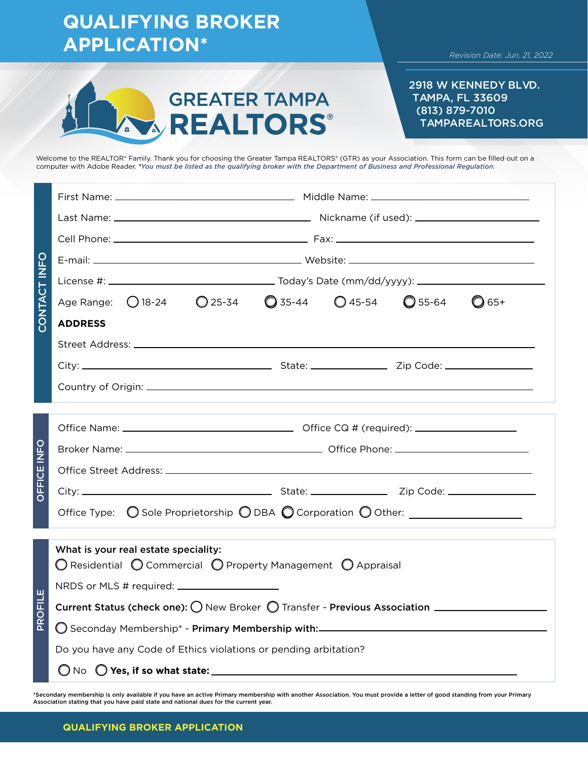|              | <b>QUALIFYING BROKER</b><br><b>APPLICATION*</b><br>Revision Date: Jun. 21, 2022                                                                                                                                                                                                                                                                                                                         |  |  |  |  |  |  |  |
|--------------|---------------------------------------------------------------------------------------------------------------------------------------------------------------------------------------------------------------------------------------------------------------------------------------------------------------------------------------------------------------------------------------------------------|--|--|--|--|--|--|--|
|              | 2918 W KENNEDY BLVD.<br><b>GREATER TAMPA</b><br><b>TAMPA, FL 33609</b><br>(813) 879-7010<br><b>AREALTORS</b><br><b>TAMPAREALTORS.ORG</b>                                                                                                                                                                                                                                                                |  |  |  |  |  |  |  |
|              | Welcome to the REALTOR® Family. Thank you for choosing the Greater Tampa REALTORS® (GTR) as your Association. This form can be filled out on a<br>computer with Adobe Reader. *You must be listed as the qualifying broker with the Department of Business and Professional Regulation.                                                                                                                 |  |  |  |  |  |  |  |
| CONTACT INFO | Age Range: 0 18-24  0 25-34  0 35-44  0 45-54  0 55-64<br>$O$ 65+<br><b>ADDRESS</b>                                                                                                                                                                                                                                                                                                                     |  |  |  |  |  |  |  |
| OFFICE INFO  | Office Type: O Sole Proprietorship O DBA O Corporation O Other: ________________                                                                                                                                                                                                                                                                                                                        |  |  |  |  |  |  |  |
| PROFILE      | What is your real estate speciality:<br>$\bigcirc$ Residential $\bigcirc$ Commercial $\bigcirc$ Property Management $\bigcirc$ Appraisal<br>Current Status (check one): $\bigcirc$ New Broker $\bigcirc$ Transfer - Previous Association $\_\_$<br>O Seconday Membership* - Primary Membership with:_______________________________<br>Do you have any Code of Ethics violations or pending arbitation? |  |  |  |  |  |  |  |

\*Secondary membership is only available if you have an active Primary membership with another Association. You must provide a letter of good standing from your Primary<br>Association stating that you have paid state and natio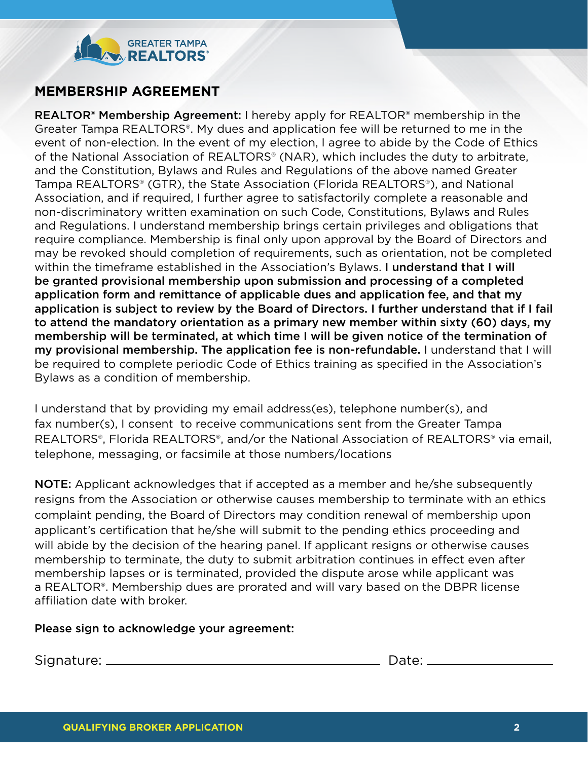

## **MEMBERSHIP AGREEMENT**

REALTOR<sup>®</sup> Membership Agreement: I hereby apply for REALTOR<sup>®</sup> membership in the Greater Tampa REALTORS®. My dues and application fee will be returned to me in the event of non-election. In the event of my election, I agree to abide by the Code of Ethics of the National Association of REALTORS® (NAR), which includes the duty to arbitrate, and the Constitution, Bylaws and Rules and Regulations of the above named Greater Tampa REALTORS® (GTR), the State Association (Florida REALTORS®), and National Association, and if required, I further agree to satisfactorily complete a reasonable and non-discriminatory written examination on such Code, Constitutions, Bylaws and Rules and Regulations. I understand membership brings certain privileges and obligations that require compliance. Membership is final only upon approval by the Board of Directors and may be revoked should completion of requirements, such as orientation, not be completed within the timeframe established in the Association's Bylaws. I understand that I will be granted provisional membership upon submission and processing of a completed application form and remittance of applicable dues and application fee, and that my application is subject to review by the Board of Directors. I further understand that if I fail to attend the mandatory orientation as a primary new member within sixty (60) days, my membership will be terminated, at which time I will be given notice of the termination of my provisional membership. The application fee is non-refundable. I understand that I will be required to complete periodic Code of Ethics training as specified in the Association's Bylaws as a condition of membership.

I understand that by providing my email address(es), telephone number(s), and fax number(s), I consent to receive communications sent from the Greater Tampa REALTORS®, Florida REALTORS®, and/or the National Association of REALTORS® via email, telephone, messaging, or facsimile at those numbers/locations

NOTE: Applicant acknowledges that if accepted as a member and he/she subsequently resigns from the Association or otherwise causes membership to terminate with an ethics complaint pending, the Board of Directors may condition renewal of membership upon applicant's certification that he/she will submit to the pending ethics proceeding and will abide by the decision of the hearing panel. If applicant resigns or otherwise causes membership to terminate, the duty to submit arbitration continues in effect even after membership lapses or is terminated, provided the dispute arose while applicant was a REALTOR®. Membership dues are prorated and will vary based on the DBPR license affiliation date with broker.

## Please sign to acknowledge your agreement:

Signature: Date: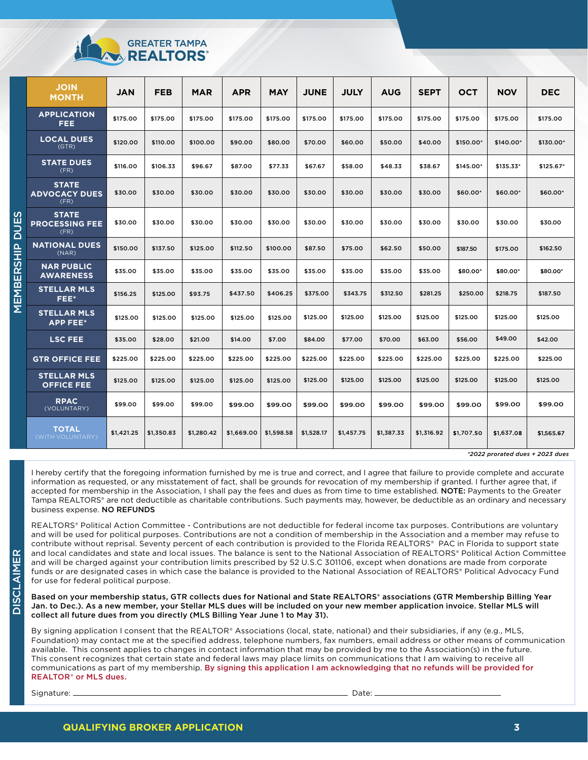

|                                                                            | <b>JOIN</b><br><b>MONTH</b>                   | <b>JAN</b> | <b>FEB</b> | <b>MAR</b> | <b>APR</b> | <b>MAY</b> | <b>JUNE</b> | <b>JULY</b> | <b>AUG</b> | <b>SEPT</b> | <b>OCT</b> | <b>NOV</b> | <b>DEC</b> |
|----------------------------------------------------------------------------|-----------------------------------------------|------------|------------|------------|------------|------------|-------------|-------------|------------|-------------|------------|------------|------------|
| ഗ<br>ш<br>2<br>$\frac{\mathsf{p}}{\mathsf{p}}$<br><u>ດັ່ງ</u><br>ய<br>MEMB | <b>APPLICATION</b><br>FEE.                    | \$175.00   | \$175.00   | \$175.00   | \$175.00   | \$175.00   | \$175.00    | \$175.00    | \$175.00   | \$175.00    | \$175.00   | \$175.00   | \$175.00   |
|                                                                            | <b>LOCAL DUES</b><br>(GTR)                    | \$120.00   | \$110.00   | \$100.00   | \$90.00    | \$80.00    | \$70.00     | \$60.00     | \$50.00    | \$40.00     | \$150.00*  | \$140.00*  | \$130.00*  |
|                                                                            | <b>STATE DUES</b><br>(FR)                     | \$116.00   | \$106.33   | \$96.67    | \$87.00    | \$77.33    | \$67.67     | \$58.00     | \$48.33    | \$38.67     | \$145.00*  | \$135.33*  | $$125.67*$ |
|                                                                            | <b>STATE</b><br><b>ADVOCACY DUES</b><br>(FR)  | \$30.00    | \$30.00    | \$30.00    | \$30.00    | \$30.00    | \$30.00     | \$30.00     | \$30.00    | \$30.00     | \$60.00*   | \$60.00*   | \$60.00*   |
|                                                                            | <b>STATE</b><br><b>PROCESSING FEE</b><br>(FR) | \$30.00    | \$30.00    | \$30.00    | \$30.00    | \$30.00    | \$30.00     | \$30.00     | \$30.00    | \$30.00     | \$30.00    | \$30.00    | \$30.00    |
|                                                                            | <b>NATIONAL DUES</b><br>(NAR)                 | \$150.00   | \$137.50   | \$125.00   | \$112.50   | \$100.00   | \$87.50     | \$75.00     | \$62.50    | \$50.00     | \$187.50   | \$175.00   | \$162.50   |
|                                                                            | <b>NAR PUBLIC</b><br><b>AWARENESS</b>         | \$35.00    | \$35.00    | \$35.00    | \$35.00    | \$35.00    | \$35.00     | \$35.00     | \$35.00    | \$35.00     | \$80.00*   | \$80.00*   | \$80.00*   |
|                                                                            | <b>STELLAR MLS</b><br>FEE*                    | \$156.25   | \$125.00   | \$93.75    | \$437.50   | \$406.25   | \$375.00    | \$343.75    | \$312.50   | \$281.25    | \$250.00   | \$218.75   | \$187.50   |
|                                                                            | <b>STELLAR MLS</b><br><b>APP FEE*</b>         | \$125.00   | \$125.00   | \$125.00   | \$125.00   | \$125.00   | \$125.00    | \$125.00    | \$125.00   | \$125.00    | \$125.00   | \$125.00   | \$125.00   |
|                                                                            | <b>LSC FEE</b>                                | \$35.00    | \$28.00    | \$21.00    | \$14.00    | \$7.00     | \$84.00     | \$77.00     | \$70.00    | \$63.00     | \$56.00    | \$49.00    | \$42.00    |
|                                                                            | <b>GTR OFFICE FEE</b>                         | \$225.00   | \$225.00   | \$225.00   | \$225.00   | \$225.00   | \$225.00    | \$225.00    | \$225.00   | \$225.00    | \$225.00   | \$225.00   | \$225.00   |
|                                                                            | <b>STELLAR MLS</b><br><b>OFFICE FEE</b>       | \$125.00   | \$125.00   | \$125.00   | \$125.00   | \$125.00   | \$125.00    | \$125.00    | \$125.00   | \$125.00    | \$125.00   | \$125.00   | \$125.00   |
|                                                                            | <b>RPAC</b><br>(VOLUNTARY)                    | \$99.00    | \$99.00    | \$99.00    | \$99.00    | \$99.00    | \$99.00     | \$99.00     | \$99.00    | \$99.00     | \$99.00    | \$99.00    | \$99.00    |
|                                                                            | <b>TOTAL</b><br>(WITH VOLUNTARY)              | \$1,421.25 | \$1,350.83 | \$1,280.42 | \$1,669.00 | \$1,598.58 | \$1,528.17  | \$1,457.75  | \$1,387.33 | \$1,316.92  | \$1,707.50 | \$1,637.08 | \$1,565.67 |

*\*2022 prorated dues + 2023 dues*

I hereby certify that the foregoing information furnished by me is true and correct, and I agree that failure to provide complete and accurate information as requested, or any misstatement of fact, shall be grounds for revocation of my membership if granted. I further agree that, if accepted for membership in the Association, I shall pay the fees and dues as from time to time established. NOTE: Payments to the Greater Tampa REALTORS® are not deductible as charitable contributions. Such payments may, however, be deductible as an ordinary and necessary business expense. NO REFUNDS

REALTORS® Political Action Committee - Contributions are not deductible for federal income tax purposes. Contributions are voluntary and will be used for political purposes. Contributions are not a condition of membership in the Association and a member may refuse to contribute without reprisal. Seventy percent of each contribution is provided to the Florida REALTORS® PAC in Florida to support state and local candidates and state and local issues. The balance is sent to the National Association of REALTORS® Political Action Committee and will be charged against your contribution limits prescribed by 52 U.S.C 301106, except when donations are made from corporate funds or are designated cases in which case the balance is provided to the National Association of REALTORS® Political Advocacy Fund for use for federal political purpose.

Based on your membership status, GTR collects dues for National and State REALTORS® associations (GTR Membership Billing Year Jan. to Dec.). As a new member, your Stellar MLS dues will be included on your new member application invoice. Stellar MLS will collect all future dues from you directly (MLS Billing Year June 1 to May 31).

By signing application I consent that the REALTOR® Associations (local, state, national) and their subsidiaries, if any (e.g., MLS, Foundation) may contact me at the specified address, telephone numbers, fax numbers, email address or other means of communication available. This consent applies to changes in contact information that may be provided by me to the Association(s) in the future. This consent recognizes that certain state and federal laws may place limits on communications that I am waiving to receive all communications as part of my membership. By signing this application I am acknowledging that no refunds will be provided for REALTOR® or MLS dues.

Signature: Date:

DISCLAIMER

**DISCLAIMER**